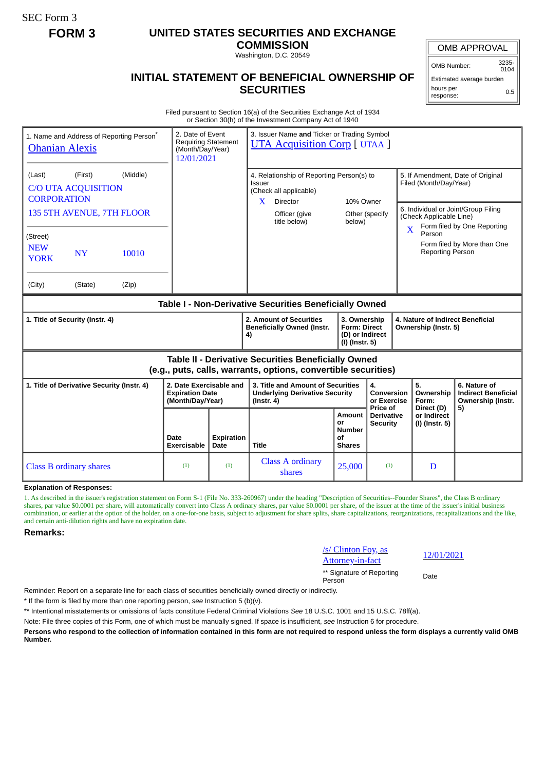SEC Form 3

# **FORM 3 UNITED STATES SECURITIES AND EXCHANGE**

**COMMISSION** Washington, D.C. 20549

OMB APPROVAL

OMB Number: 3235- 0104

0.5

Estimated average burden hours per

response:

## **INITIAL STATEMENT OF BENEFICIAL OWNERSHIP OF SECURITIES**

Filed pursuant to Section 16(a) of the Securities Exchange Act of 1934 or Section 30(h) of the Investment Company Act of 1940

| 1. Name and Address of Reporting Person <sup>®</sup><br><b>Ohanian Alexis</b>                                                                                                                               |                                                                       | 3. Issuer Name and Ticker or Trading Symbol<br>2. Date of Event<br><b>Requiring Statement</b><br><b>UTA Acquisition Corp</b> [ UTAA ]<br>(Month/Day/Year)<br>12/01/2021 |                                                                                                                                         |                                                                            |                                             |                                                                                             |                                                                                                                                        |
|-------------------------------------------------------------------------------------------------------------------------------------------------------------------------------------------------------------|-----------------------------------------------------------------------|-------------------------------------------------------------------------------------------------------------------------------------------------------------------------|-----------------------------------------------------------------------------------------------------------------------------------------|----------------------------------------------------------------------------|---------------------------------------------|---------------------------------------------------------------------------------------------|----------------------------------------------------------------------------------------------------------------------------------------|
| (Middle)<br>(First)<br>(Last)<br><b>C/O UTA ACQUISITION</b><br><b>CORPORATION</b><br>135 5TH AVENUE, 7TH FLOOR<br>(Street)<br><b>NEW</b><br><b>NY</b><br>10010<br><b>YORK</b><br>(City)<br>(Zip)<br>(State) |                                                                       |                                                                                                                                                                         | 4. Relationship of Reporting Person(s) to<br>Issuer<br>(Check all applicable)<br>X.<br><b>Director</b><br>Officer (give<br>title below) | 10% Owner<br>below)                                                        | Other (specify                              | Filed (Month/Day/Year)<br>(Check Applicable Line)<br>X<br>Person<br><b>Reporting Person</b> | 5. If Amendment, Date of Original<br>6. Individual or Joint/Group Filing<br>Form filed by One Reporting<br>Form filed by More than One |
| Table I - Non-Derivative Securities Beneficially Owned                                                                                                                                                      |                                                                       |                                                                                                                                                                         |                                                                                                                                         |                                                                            |                                             |                                                                                             |                                                                                                                                        |
| 1. Title of Security (Instr. 4)                                                                                                                                                                             |                                                                       |                                                                                                                                                                         | 2. Amount of Securities<br><b>Beneficially Owned (Instr.</b><br>4)                                                                      | 3. Ownership<br><b>Form: Direct</b><br>(D) or Indirect<br>$(I)$ (Instr. 5) |                                             | 4. Nature of Indirect Beneficial<br>Ownership (Instr. 5)                                    |                                                                                                                                        |
| Table II - Derivative Securities Beneficially Owned<br>(e.g., puts, calls, warrants, options, convertible securities)                                                                                       |                                                                       |                                                                                                                                                                         |                                                                                                                                         |                                                                            |                                             |                                                                                             |                                                                                                                                        |
| 1. Title of Derivative Security (Instr. 4)                                                                                                                                                                  | 2. Date Exercisable and<br><b>Expiration Date</b><br>(Month/Day/Year) |                                                                                                                                                                         | 3. Title and Amount of Securities<br><b>Underlying Derivative Security</b><br>$($ lnstr. 4 $)$                                          |                                                                            | 4.<br>Conversion<br>or Exercise<br>Price of | 5.<br>Ownership<br>Form:<br>Direct (D)                                                      | 6. Nature of<br><b>Indirect Beneficial</b><br>Ownership (Instr.                                                                        |
|                                                                                                                                                                                                             | Date<br>Exercisable                                                   | <b>Expiration</b><br>Date                                                                                                                                               | Title                                                                                                                                   | <b>Amount</b><br>or<br><b>Number</b><br>Οf<br><b>Shares</b>                | Derivative<br><b>Security</b>               | or Indirect<br>(I) (Instr. 5)                                                               | 5)                                                                                                                                     |
| <b>Class B ordinary shares</b>                                                                                                                                                                              | (1)                                                                   | (1)                                                                                                                                                                     | <b>Class A ordinary</b><br>shares                                                                                                       | 25,000                                                                     | (1)                                         | D                                                                                           |                                                                                                                                        |

**Explanation of Responses:**

1. As described in the issuer's registration statement on Form S-1 (File No. 333-260967) under the heading "Description of Securities--Founder Shares", the Class B ordinary shares, par value \$0.0001 per share, will automatically convert into Class A ordinary shares, par value \$0.0001 per share, of the issuer at the time of the issuer's initial business combination, or earlier at the option of the holder, on a one-for-one basis, subject to adjustment for share splits, share capitalizations, reorganizations, recapitalizations and the like, and certain anti-dilution rights and have no expiration date.

#### **Remarks:**

### /s/ Clinton Foy, as

 $\frac{12}{01/2021}$  Attorney-in-fact

\*\* Signature of Reporting Person Date

Reminder: Report on a separate line for each class of securities beneficially owned directly or indirectly.

\* If the form is filed by more than one reporting person, *see* Instruction 5 (b)(v).

\*\* Intentional misstatements or omissions of facts constitute Federal Criminal Violations *See* 18 U.S.C. 1001 and 15 U.S.C. 78ff(a).

Note: File three copies of this Form, one of which must be manually signed. If space is insufficient, *see* Instruction 6 for procedure.

**Persons who respond to the collection of information contained in this form are not required to respond unless the form displays a currently valid OMB Number.**